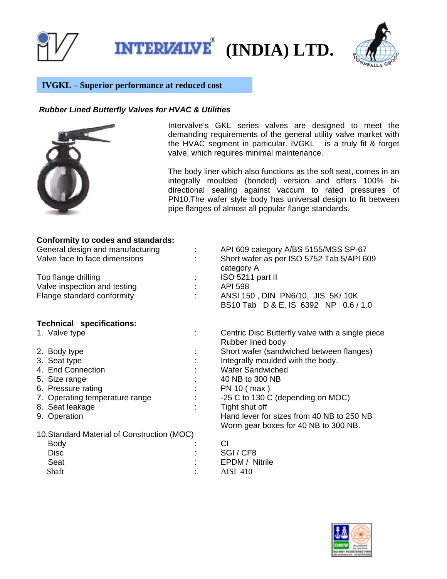

**(INDIA) LTD.** 



## **IVGKL – Superior performance at reduced cost**

## *Rubber Lined Butterfly Valves for HVAC & Utilities*



Intervalve's GKL series valves are designed to meet the demanding requirements of the general utility valve market with the HVAC segment in particular. IVGKL is a truly fit & forget valve, which requires minimal maintenance.

The body liner which also functions as the soft seat, comes in an integrally moulded (bonded) version and offers 100% bidirectional sealing against vaccum to rated pressures of PN10.The wafer style body has universal design to fit between pipe flanges of almost all popular flange standards.

## **Conformity to codes and standards:**

| General design and manufacturing<br>Valve face to face dimensions | API 609 category A/BS 5155/MSS SP-67<br>Short wafer as per ISO 5752 Tab 5/API 609<br>category A |
|-------------------------------------------------------------------|-------------------------------------------------------------------------------------------------|
| Top flange drilling                                               | ISO 5211 part II                                                                                |
| Valve inspection and testing                                      | <b>API 598</b>                                                                                  |
| Flange standard conformity                                        | ANSI 150, DIN PN6/10, JIS 5K/ 10K<br>BS10 Tab D & E, IS 6392 NP 0.6 / 1.0                       |
| <b>Technical specifications:</b>                                  |                                                                                                 |
| 1. Valve type                                                     | Centric Disc Butterfly valve with a single piece<br>Rubber lined body                           |
| 2. Body type                                                      | Short wafer (sandwiched between flanges)                                                        |
| 3. Seat type                                                      | Integrally moulded with the body.                                                               |
| 4. End Connection                                                 | <b>Wafer Sandwiched</b>                                                                         |
| 5. Size range                                                     | 40 NB to 300 NB                                                                                 |
| 6. Pressure rating                                                | PN 10 ( max )                                                                                   |
| 7. Operating temperature range                                    | -25 C to 130 C (depending on MOC)                                                               |
| 8. Seat leakage                                                   | Tight shut off                                                                                  |
| 9. Operation                                                      | Hand lever for sizes from 40 NB to 250 NB                                                       |
|                                                                   | Worm gear boxes for 40 NB to 300 NB.                                                            |
| 10. Standard Material of Construction (MOC)                       |                                                                                                 |
| Body                                                              | CI                                                                                              |
| <b>Disc</b>                                                       | SGI/CF8                                                                                         |
| Seat                                                              | EPDM / Nitrile                                                                                  |

Shaft : AISI 410